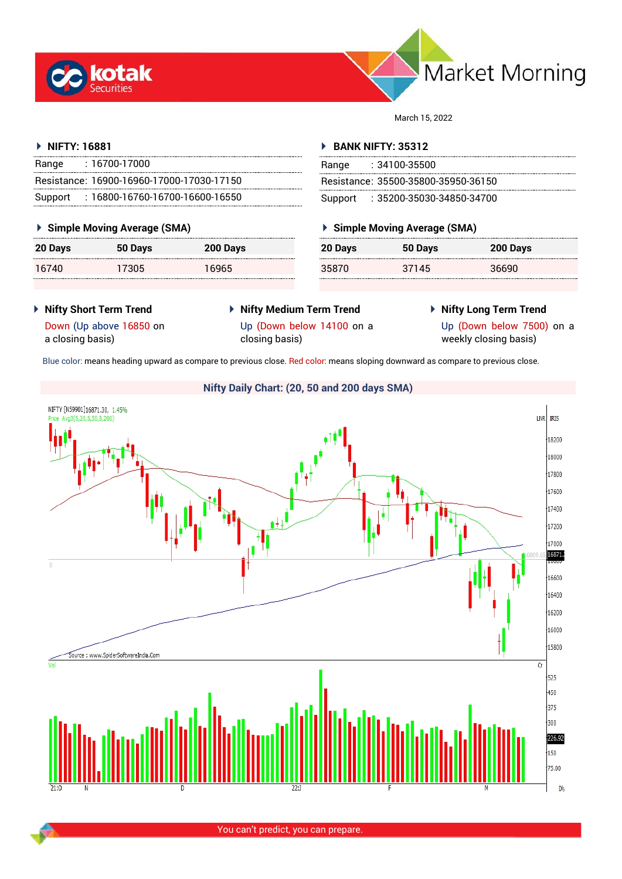



March 15, 2022

## **NIFTY: 16881**

| Range | : 16700-17000                             |
|-------|-------------------------------------------|
|       | Resistance: 16900-16960-17000-17030-17150 |
|       | Support: 16800-16760-16700-16600-16550    |

## **Simple Moving Average (SMA)**

| 20 Days | 50 Days | 200 Days |
|---------|---------|----------|
| 16740   | 17305   | 16965    |

## **BANK NIFTY: 35312**

| Range | $: 34100 - 35500$                   |
|-------|-------------------------------------|
|       | Resistance: 35500-35800-35950-36150 |
|       | Support : 35200-35030-34850-34700   |

## **Simple Moving Average (SMA)**

| 20 Days | 50 Days | 200 Days |
|---------|---------|----------|
| 35870   | 37145   | 36690    |

 **Nifty Short Term Trend** Down (Up above 16850 on

a closing basis)

- **Nifty Medium Term Trend** Up (Down below 14100 on a closing basis)
- **Nifty Long Term Trend**

Up (Down below 7500) on a weekly closing basis)

Blue color: means heading upward as compare to previous close. Red color: means sloping downward as compare to previous close.

# **Nifty Daily Chart: (20, 50 and 200 days SMA)**NIFTY [N59901]16871.30, 1.45% LNR **IRIS**  $\frac{1}{18200}$ 18000 17800 17600  $+17400$ 17200 ,<br>17000 16871.  $\theta$  $16600$ 16400 16200 16000 15800 Source: www.SpiderSoftwareIndia.Com  $\overline{G}$  $+525$  $+450$  $+375$  $\frac{1}{1300}$  $226.92$  $+150$  $75.00$ Dh

You can't predict, you can prepare.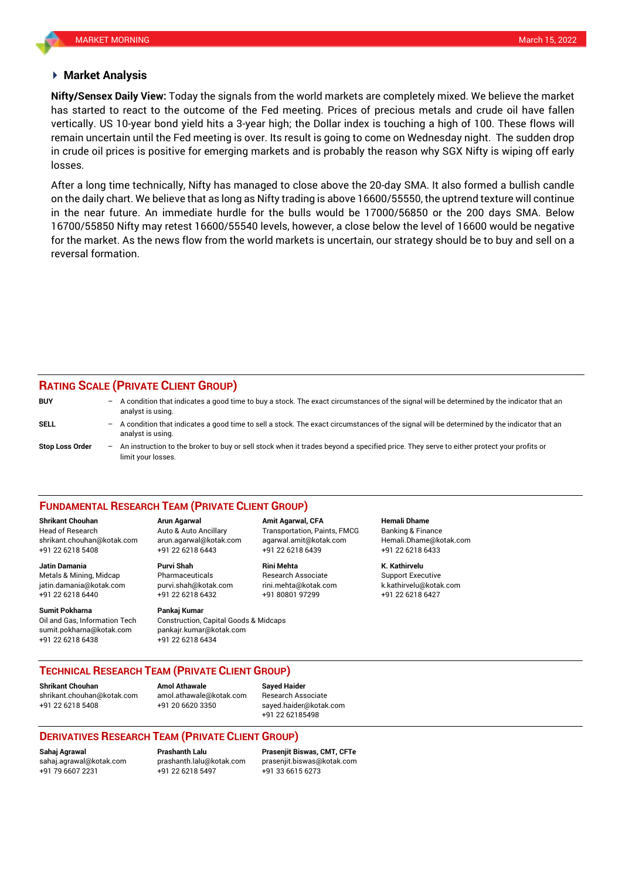## **Market Analysis**

has started to react to the outcome of the Fed meeting. Prices of precious metals and crude oil have fallen **Nifty/Sensex Daily View:** Today the signals from the world markets are completely mixed. We believe the market vertically. US 10-year bond yield hits a 3-year high; the Dollar index is touching a high of 100. These flows will remain uncertain until the Fed meeting is over. Its result is going to come on Wednesday night. The sudden drop in crude oil prices is positive for emerging markets and is probably the reason why SGX Nifty is wiping off early losses.

After a long time technically, Nifty has managed to close above the 20-day SMA. It also formed a bullish candle on the daily chart. We believe that as long as Nifty trading is above 16600/55550, the uptrend texture will continue in the near future. An immediate hurdle for the bulls would be 17000/56850 or the 200 days SMA. Below 16700/55850 Nifty may retest 16600/55540 levels, however, a close below the level of 16600 would be negative for the market. As the news flow from the world markets is uncertain, our strategy should be to buy and sell on a reversal formation.

## **RATING SCALE (PRIVATE CLIENT GROUP)**

**BUY** – A condition that indicates a good time to buy a stock. The exact circumstances of the signal will be determined by the indicator that an analyst is using. **SELL** – A condition that indicates a good time to sell a stock. The exact circumstances of the signal will be determined by the indicator that an analyst is using. **Stop Loss Order** – An instruction to the broker to buy or sell stock when it trades beyond a specified price. They serve to either protect your profits or limit your losses.

### **FUNDAMENTAL RESEARCH TEAM (PRIVATE CLIENT GROUP)**

Head of Research Auto & Auto Ancillary Transportation, Paints, FMCG Banking & Finance [shrikant.chouhan@kotak.com](mailto:shrikant.chouhan@kotak.com) arun.agarwal@kotak.com agarwal.amit@kotak.com Hemali.Dhame@kotak.com

**Jatin Damania Purvi Shah Rini Mehta K. Kathirvelu** Metals & Mining, Midcap Pharmaceuticals Research Associate Support Executive jatin.damania@kotak.com [purvi.shah@kotak.com](mailto:purvi.shah@kotak.com) rini.mehta@kotak.com [k.kathirvelu@kotak.com](mailto:k.kathirvelu@kotak.com) +91 22 6218 6440 +91 22 6218 6432 +91 80801 97299 +91 22 6218 6427

**Sumit Pokharna** Pankaj Kumar Oil and Gas, Information Tech Construction, Capital Goods & Midcaps sumit.pokharna@kotak.com pankajr.kumar@kotak.com +91 22 6218 6438 +91 22 6218 6434

+91 22 6218 5408 +91 22 6218 6443 +91 22 6218 6439 +91 22 6218 6433

**Shrikant Chouhan Arun Agarwal Amit Agarwal, CFA Hemali Dhame**

## **TECHNICAL RESEARCH TEAM (PRIVATE CLIENT GROUP)**

**Shrikant Chouhan Amol Athawale Sayed Haider**

[shrikant.chouhan@kotak.com](mailto:shrikant.chouhan@kotak.com) [amol.athawale@kotak.com](mailto:amol.athawale@kotak.com) Research Associate +91 22 6218 5408 +91 20 6620 3350 [sayed.haider@kotak.com](mailto:sayed.haider@kotak.com)

+91 22 62185498

## **DERIVATIVES RESEARCH TEAM (PRIVATE CLIENT GROUP)**

+91 79 6607 2231 +91 22 6218 5497 +91 33 6615 6273

**Sahaj Agrawal Prashanth Lalu Prasenjit Biswas, CMT, CFTe** [sahaj.agrawal@kotak.com](mailto:sahaj.agrawal@kotak.com) [prashanth.lalu@kotak.com](mailto:prashanth.lalu@kotak.com) [prasenjit.biswas@kotak.com](mailto:prasenjit.biswas@kotak.com)